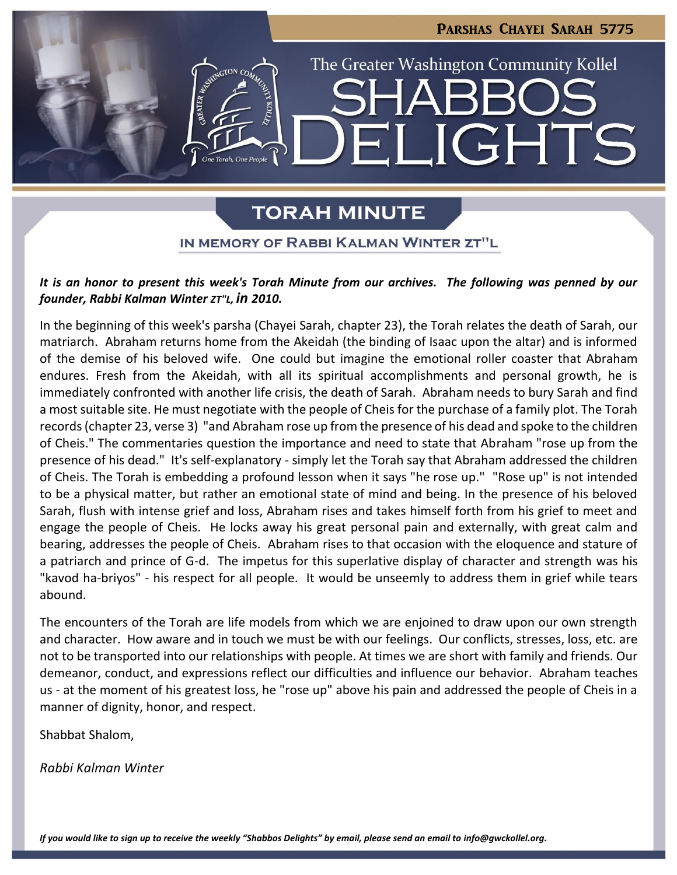

# **TORAH MINUTE**

### IN MEMORY OF RABBI KALMAN WINTER ZT"L

### *It is an honor to present this week's Torah Minute from our archives. The following was penned by our founder, Rabbi Kalman Winter ZT"L, in 2010.*

In the beginning of this week's parsha (Chayei Sarah, chapter 23), the Torah relates the death of Sarah, our matriarch. Abraham returns home from the Akeidah (the binding of Isaac upon the altar) and is informed of the demise of his beloved wife. One could but imagine the emotional roller coaster that Abraham endures. Fresh from the Akeidah, with all its spiritual accomplishments and personal growth, he is immediately confronted with another life crisis, the death of Sarah. Abraham needs to bury Sarah and find a most suitable site. He must negotiate with the people of Cheis for the purchase of a family plot. The Torah records (chapter 23, verse 3) "and Abraham rose up from the presence of his dead and spoke to the children of Cheis." The commentaries question the importance and need to state that Abraham "rose up from the presence of his dead." It's self-explanatory - simply let the Torah say that Abraham addressed the children of Cheis. The Torah is embedding a profound lesson when it says "he rose up." "Rose up" is not intended to be a physical matter, but rather an emotional state of mind and being. In the presence of his beloved Sarah, flush with intense grief and loss, Abraham rises and takes himself forth from his grief to meet and engage the people of Cheis. He locks away his great personal pain and externally, with great calm and bearing, addresses the people of Cheis. Abraham rises to that occasion with the eloquence and stature of a patriarch and prince of G-d. The impetus for this superlative display of character and strength was his "kavod ha-briyos" - his respect for all people. It would be unseemly to address them in grief while tears abound.

The encounters of the Torah are life models from which we are enjoined to draw upon our own strength and character. How aware and in touch we must be with our feelings. Our conflicts, stresses, loss, etc. are not to be transported into our relationships with people. At times we are short with family and friends. Our demeanor, conduct, and expressions reflect our difficulties and influence our behavior. Abraham teaches us - at the moment of his greatest loss, he "rose up" above his pain and addressed the people of Cheis in a manner of dignity, honor, and respect.

Shabbat Shalom,

*Rabbi Kalman Winter*

*If you would like to sign up to receive the weekly "Shabbos Delights" by email, please send an email to [info@gwckollel.org.](mailto:info@gwckollel.org)*